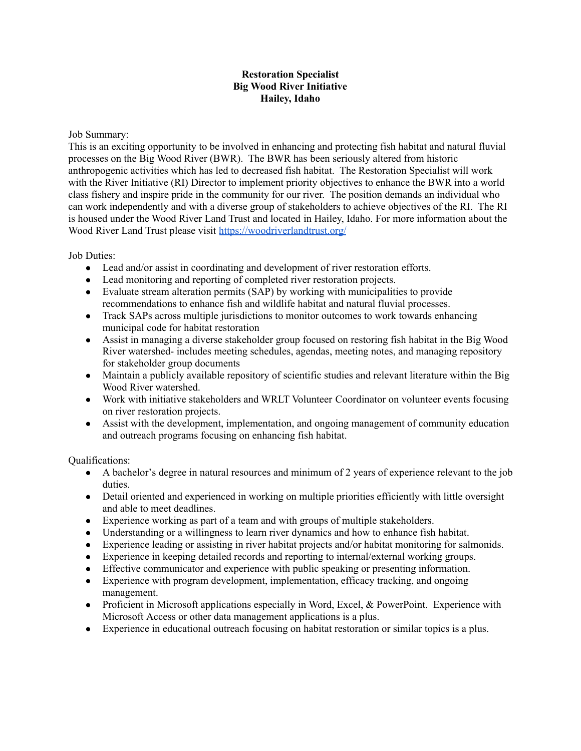## **Restoration Specialist Big Wood River Initiative Hailey, Idaho**

Job Summary:

This is an exciting opportunity to be involved in enhancing and protecting fish habitat and natural fluvial processes on the Big Wood River (BWR). The BWR has been seriously altered from historic anthropogenic activities which has led to decreased fish habitat. The Restoration Specialist will work with the River Initiative (RI) Director to implement priority objectives to enhance the BWR into a world class fishery and inspire pride in the community for our river. The position demands an individual who can work independently and with a diverse group of stakeholders to achieve objectives of the RI. The RI is housed under the Wood River Land Trust and located in Hailey, Idaho. For more information about the Wood River Land Trust please visit <https://woodriverlandtrust.org/>

Job Duties:

- Lead and/or assist in coordinating and development of river restoration efforts.
- Lead monitoring and reporting of completed river restoration projects.
- Evaluate stream alteration permits (SAP) by working with municipalities to provide recommendations to enhance fish and wildlife habitat and natural fluvial processes.
- Track SAPs across multiple jurisdictions to monitor outcomes to work towards enhancing municipal code for habitat restoration
- Assist in managing a diverse stakeholder group focused on restoring fish habitat in the Big Wood River watershed- includes meeting schedules, agendas, meeting notes, and managing repository for stakeholder group documents
- Maintain a publicly available repository of scientific studies and relevant literature within the Big Wood River watershed.
- Work with initiative stakeholders and WRLT Volunteer Coordinator on volunteer events focusing on river restoration projects.
- Assist with the development, implementation, and ongoing management of community education and outreach programs focusing on enhancing fish habitat.

Qualifications:

- A bachelor's degree in natural resources and minimum of 2 years of experience relevant to the job duties.
- Detail oriented and experienced in working on multiple priorities efficiently with little oversight and able to meet deadlines.
- Experience working as part of a team and with groups of multiple stakeholders.
- Understanding or a willingness to learn river dynamics and how to enhance fish habitat.
- Experience leading or assisting in river habitat projects and/or habitat monitoring for salmonids.
- Experience in keeping detailed records and reporting to internal/external working groups.
- Effective communicator and experience with public speaking or presenting information.
- Experience with program development, implementation, efficacy tracking, and ongoing management.
- Proficient in Microsoft applications especially in Word, Excel, & PowerPoint. Experience with Microsoft Access or other data management applications is a plus.
- Experience in educational outreach focusing on habitat restoration or similar topics is a plus.